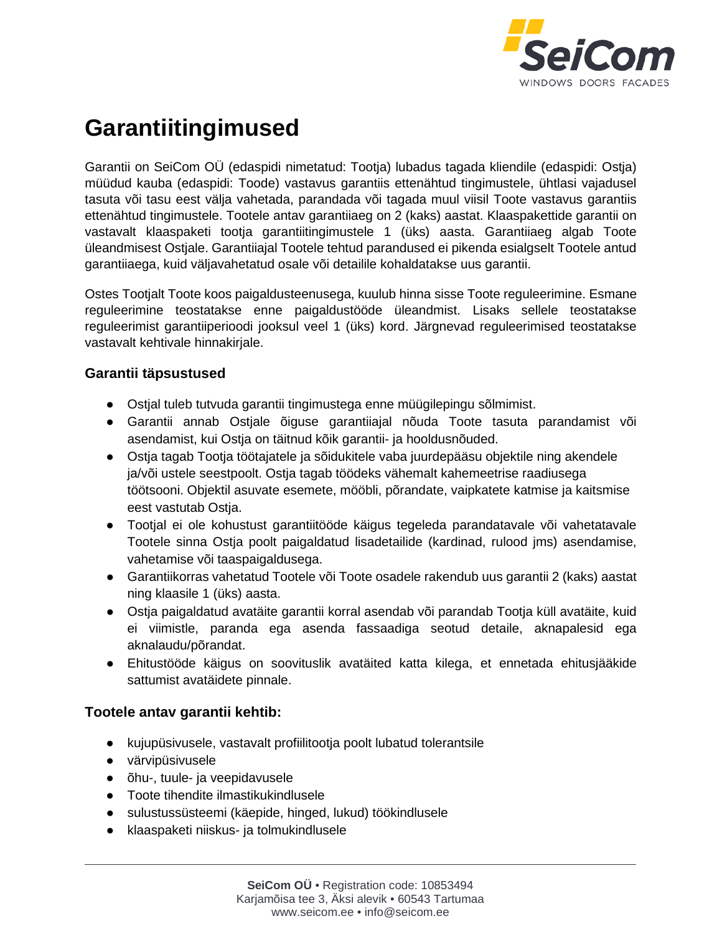

# **Garantiitingimused**

Garantii on SeiCom OÜ (edaspidi nimetatud: Tootja) lubadus tagada kliendile (edaspidi: Ostja) müüdud kauba (edaspidi: Toode) vastavus garantiis ettenähtud tingimustele, ühtlasi vajadusel tasuta või tasu eest välja vahetada, parandada või tagada muul viisil Toote vastavus garantiis ettenähtud tingimustele. Tootele antav garantiiaeg on 2 (kaks) aastat. Klaaspakettide garantii on vastavalt klaaspaketi tootja garantiitingimustele 1 (üks) aasta. Garantiiaeg algab Toote üleandmisest Ostjale. Garantiiajal Tootele tehtud parandused ei pikenda esialgselt Tootele antud garantiiaega, kuid väljavahetatud osale või detailile kohaldatakse uus garantii.

Ostes Tootjalt Toote koos paigaldusteenusega, kuulub hinna sisse Toote reguleerimine. Esmane reguleerimine teostatakse enne paigaldustööde üleandmist. Lisaks sellele teostatakse reguleerimist garantiiperioodi jooksul veel 1 (üks) kord. Järgnevad reguleerimised teostatakse vastavalt kehtivale hinnakirjale.

#### **Garantii täpsustused**

- Ostjal tuleb tutvuda garantii tingimustega enne müügilepingu sõlmimist.
- Garantii annab Ostjale õiguse garantiiajal nõuda Toote tasuta parandamist või asendamist, kui Ostja on täitnud kõik garantii- ja hooldusnõuded.
- Ostja tagab Tootja töötajatele ja sõidukitele vaba juurdepääsu objektile ning akendele ja/või ustele seestpoolt. Ostja tagab töödeks vähemalt kahemeetrise raadiusega töötsooni. Objektil asuvate esemete, mööbli, põrandate, vaipkatete katmise ja kaitsmise eest vastutab Ostja.
- Tootjal ei ole kohustust garantiitööde käigus tegeleda parandatavale või vahetatavale Tootele sinna Ostja poolt paigaldatud lisadetailide (kardinad, rulood jms) asendamise, vahetamise või taaspaigaldusega.
- Garantiikorras vahetatud Tootele või Toote osadele rakendub uus garantii 2 (kaks) aastat ning klaasile 1 (üks) aasta.
- Ostja paigaldatud avatäite garantii korral asendab või parandab Tootja küll avatäite, kuid ei viimistle, paranda ega asenda fassaadiga seotud detaile, aknapalesid ega aknalaudu/põrandat.
- Ehitustööde käigus on soovituslik avatäited katta kilega, et ennetada ehitusjääkide sattumist avatäidete pinnale.

## **Tootele antav garantii kehtib:**

- kujupüsivusele, vastavalt profiilitootja poolt lubatud tolerantsile
- värvipüsivusele
- õhu-, tuule- ja veepidavusele
- Toote tihendite ilmastikukindlusele
- sulustussüsteemi (käepide, hinged, lukud) töökindlusele
- klaaspaketi niiskus- ja tolmukindlusele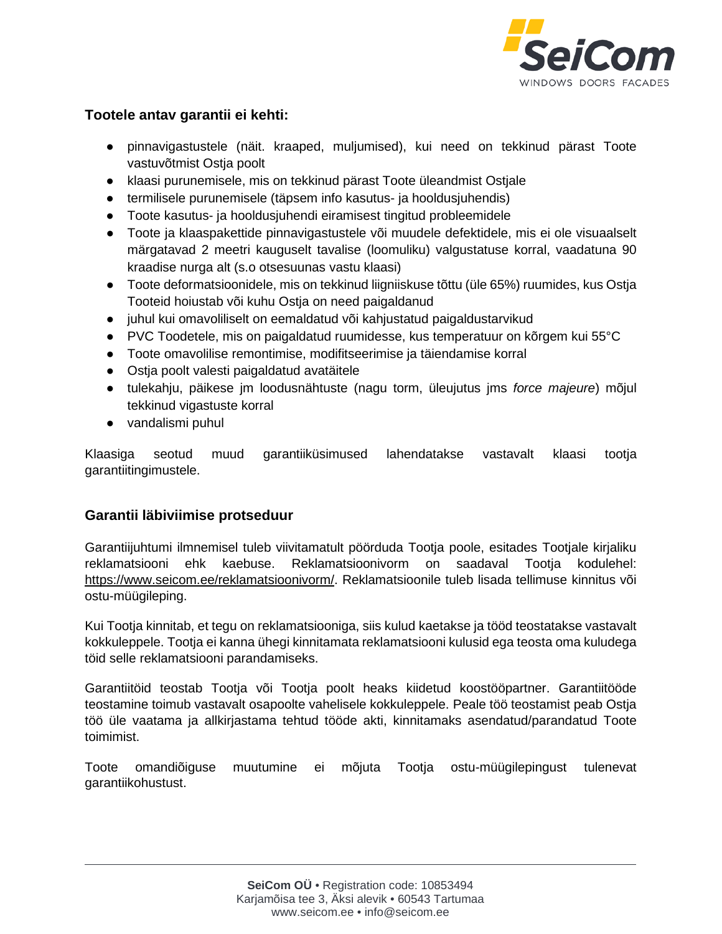

#### **Tootele antav garantii ei kehti:**

- pinnavigastustele (näit. kraaped, muljumised), kui need on tekkinud pärast Toote vastuvõtmist Ostja poolt
- klaasi purunemisele, mis on tekkinud pärast Toote üleandmist Ostjale
- termilisele purunemisele (täpsem info kasutus- ja hooldusjuhendis)
- Toote kasutus- ja hooldusjuhendi eiramisest tingitud probleemidele
- Toote ja klaaspakettide pinnavigastustele või muudele defektidele, mis ei ole visuaalselt märgatavad 2 meetri kauguselt tavalise (loomuliku) valgustatuse korral, vaadatuna 90 kraadise nurga alt (s.o otsesuunas vastu klaasi)
- Toote deformatsioonidele, mis on tekkinud liigniiskuse tõttu (üle 65%) ruumides, kus Ostja Tooteid hoiustab või kuhu Ostja on need paigaldanud
- juhul kui omavoliliselt on eemaldatud või kahjustatud paigaldustarvikud
- PVC Toodetele, mis on paigaldatud ruumidesse, kus temperatuur on kõrgem kui 55°C
- Toote omavolilise remontimise, modifitseerimise ja täiendamise korral
- Ostja poolt valesti paigaldatud avatäitele
- tulekahju, päikese jm loodusnähtuste (nagu torm, üleujutus jms *force majeure*) mõjul tekkinud vigastuste korral
- vandalismi puhul

Klaasiga seotud muud garantiiküsimused lahendatakse vastavalt klaasi tootja garantiitingimustele.

## **Garantii läbiviimise protseduur**

Garantiijuhtumi ilmnemisel tuleb viivitamatult pöörduda Tootja poole, esitades Tootjale kirjaliku reklamatsiooni ehk kaebuse. Reklamatsioonivorm on saadaval Tootja kodulehel: [https://www.seicom.ee/reklamatsioonivorm/.](https://www.seicom.ee/reklamatsioonivorm/) Reklamatsioonile tuleb lisada tellimuse kinnitus või ostu-müügileping.

Kui Tootja kinnitab, et tegu on reklamatsiooniga, siis kulud kaetakse ja tööd teostatakse vastavalt kokkuleppele. Tootja ei kanna ühegi kinnitamata reklamatsiooni kulusid ega teosta oma kuludega töid selle reklamatsiooni parandamiseks.

Garantiitöid teostab Tootja või Tootja poolt heaks kiidetud koostööpartner. Garantiitööde teostamine toimub vastavalt osapoolte vahelisele kokkuleppele. Peale töö teostamist peab Ostja töö üle vaatama ja allkirjastama tehtud tööde akti, kinnitamaks asendatud/parandatud Toote toimimist.

Toote omandiõiguse muutumine ei mõjuta Tootja ostu-müügilepingust tulenevat garantiikohustust.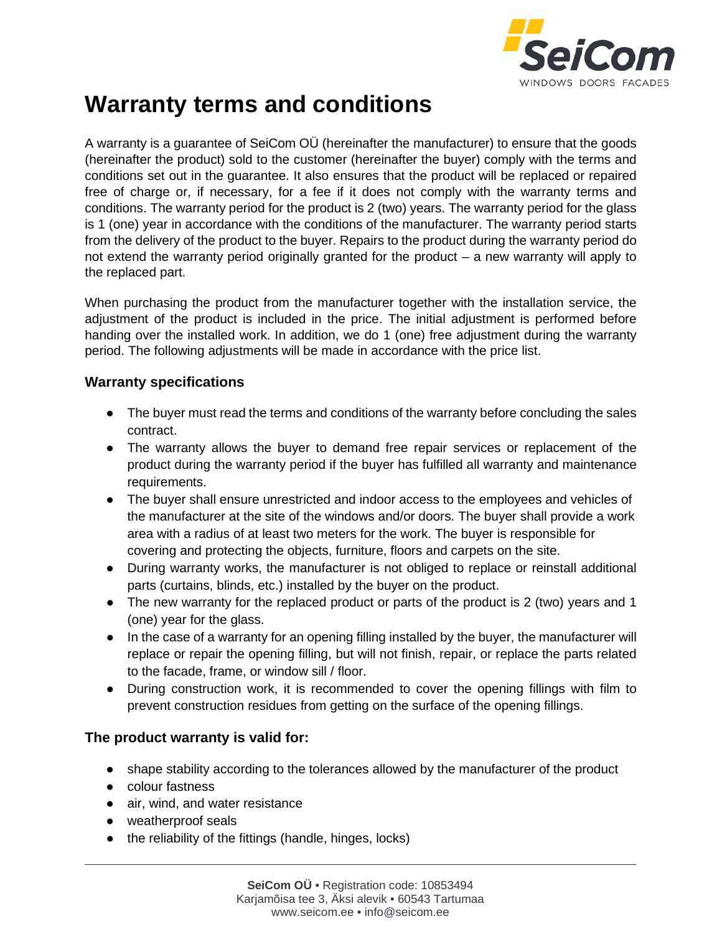

## **Warranty terms and conditions**

A warranty is a guarantee of SeiCom OÜ (hereinafter the manufacturer) to ensure that the goods (hereinafter the product) sold to the customer (hereinafter the buyer) comply with the terms and conditions set out in the guarantee. It also ensures that the product will be replaced or repaired free of charge or, if necessary, for a fee if it does not comply with the warranty terms and conditions. The warranty period for the product is 2 (two) years. The warranty period for the glass is 1 (one) year in accordance with the conditions of the manufacturer. The warranty period starts from the delivery of the product to the buyer. Repairs to the product during the warranty period do not extend the warranty period originally granted for the product – a new warranty will apply to the replaced part.

When purchasing the product from the manufacturer together with the installation service, the adjustment of the product is included in the price. The initial adjustment is performed before handing over the installed work. In addition, we do 1 (one) free adjustment during the warranty period. The following adjustments will be made in accordance with the price list.

#### **Warranty specifications**

- The buyer must read the terms and conditions of the warranty before concluding the sales contract.
- The warranty allows the buyer to demand free repair services or replacement of the product during the warranty period if the buyer has fulfilled all warranty and maintenance requirements.
- The buyer shall ensure unrestricted and indoor access to the employees and vehicles of the manufacturer at the site of the windows and/or doors. The buyer shall provide a work area with a radius of at least two meters for the work. The buyer is responsible for covering and protecting the objects, furniture, floors and carpets on the site.
- During warranty works, the manufacturer is not obliged to replace or reinstall additional parts (curtains, blinds, etc.) installed by the buyer on the product.
- The new warranty for the replaced product or parts of the product is 2 (two) years and 1 (one) year for the glass.
- In the case of a warranty for an opening filling installed by the buyer, the manufacturer will replace or repair the opening filling, but will not finish, repair, or replace the parts related to the facade, frame, or window sill / floor.
- During construction work, it is recommended to cover the opening fillings with film to prevent construction residues from getting on the surface of the opening fillings.

#### **The product warranty is valid for:**

- shape stability according to the tolerances allowed by the manufacturer of the product
- colour fastness
- air, wind, and water resistance
- weatherproof seals
- the reliability of the fittings (handle, hinges, locks)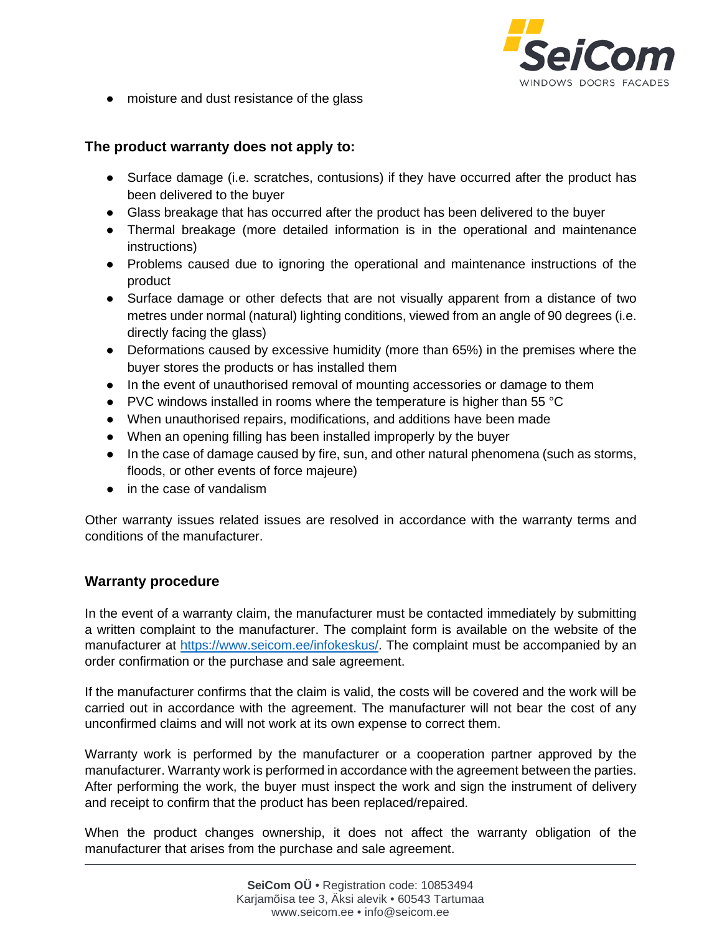

● moisture and dust resistance of the glass

#### **The product warranty does not apply to:**

- Surface damage (i.e. scratches, contusions) if they have occurred after the product has been delivered to the buyer
- Glass breakage that has occurred after the product has been delivered to the buyer
- Thermal breakage (more detailed information is in the operational and maintenance instructions)
- Problems caused due to ignoring the operational and maintenance instructions of the product
- Surface damage or other defects that are not visually apparent from a distance of two metres under normal (natural) lighting conditions, viewed from an angle of 90 degrees (i.e. directly facing the glass)
- Deformations caused by excessive humidity (more than 65%) in the premises where the buyer stores the products or has installed them
- In the event of unauthorised removal of mounting accessories or damage to them
- PVC windows installed in rooms where the temperature is higher than 55 °C
- When unauthorised repairs, modifications, and additions have been made
- When an opening filling has been installed improperly by the buyer
- In the case of damage caused by fire, sun, and other natural phenomena (such as storms, floods, or other events of force majeure)
- in the case of vandalism

Other warranty issues related issues are resolved in accordance with the warranty terms and conditions of the manufacturer.

#### **Warranty procedure**

In the event of a warranty claim, the manufacturer must be contacted immediately by submitting a written complaint to the manufacturer. The complaint form is available on the website of the manufacturer at [https://www.seicom.ee/infokeskus/.](https://www.seicom.ee/infokeskus/) The complaint must be accompanied by an order confirmation or the purchase and sale agreement.

If the manufacturer confirms that the claim is valid, the costs will be covered and the work will be carried out in accordance with the agreement. The manufacturer will not bear the cost of any unconfirmed claims and will not work at its own expense to correct them.

Warranty work is performed by the manufacturer or a cooperation partner approved by the manufacturer. Warranty work is performed in accordance with the agreement between the parties. After performing the work, the buyer must inspect the work and sign the instrument of delivery and receipt to confirm that the product has been replaced/repaired.

When the product changes ownership, it does not affect the warranty obligation of the manufacturer that arises from the purchase and sale agreement.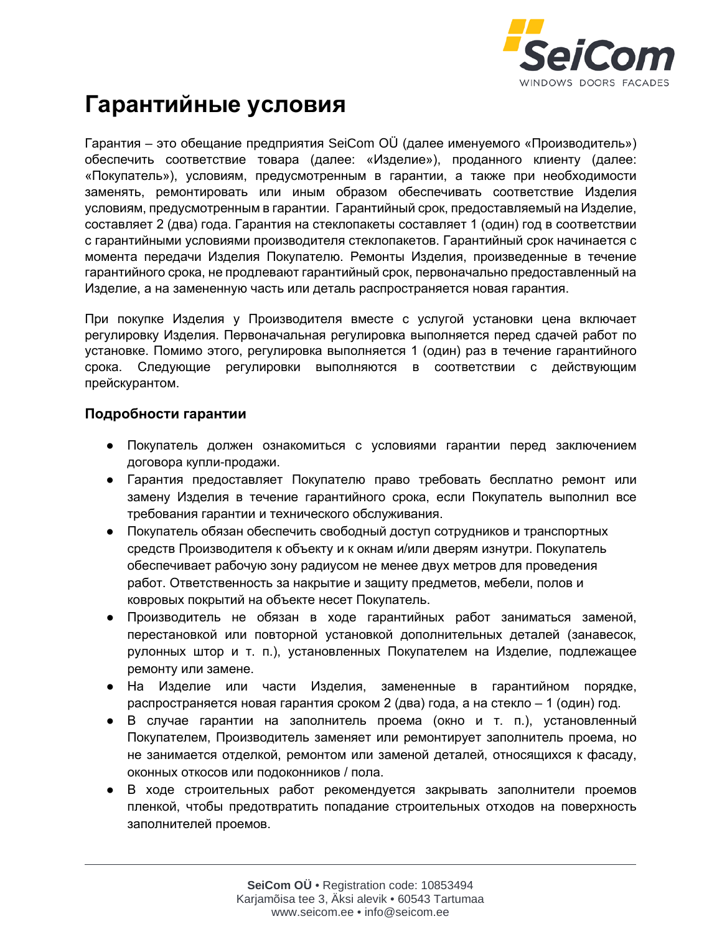

## **Гарантийные условия**

Гарантия – это обещание предприятия SeiCom OÜ (далее именуемого «Производитель») обеспечить соответствие товара (далее: «Изделие»), проданного клиенту (далее: «Покупатель»), условиям, предусмотренным в гарантии, а также при необходимости заменять, ремонтировать или иным образом обеспечивать соответствие Изделия условиям, предусмотренным в гарантии. Гарантийный срок, предоставляемый на Изделие, составляет 2 (два) года. Гарантия на стеклопакеты составляет 1 (один) год в соответствии с гарантийными условиями производителя стеклопакетов. Гарантийный срок начинается с момента передачи Изделия Покупателю. Ремонты Изделия, произведенные в течение гарантийного срока, не продлевают гарантийный срок, первоначально предоставленный на Изделие, а на замененную часть или деталь распространяется новая гарантия.

При покупке Изделия у Производителя вместе с услугой установки цена включает регулировку Изделия. Первоначальная регулировка выполняется перед сдачей работ по установке. Помимо этого, регулировка выполняется 1 (один) раз в течение гарантийного срока. Следующие регулировки выполняются в соответствии с действующим прейскурантом.

#### **Подробности гарантии**

- Покупатель должен ознакомиться с условиями гарантии перед заключением договора купли-продажи.
- Гарантия предоставляет Покупателю право требовать бесплатно ремонт или замену Изделия в течение гарантийного срока, если Покупатель выполнил все требования гарантии и технического обслуживания.
- Покупатель обязан обеспечить свободный доступ сотрудников и транспортных средств Производителя к объекту и к окнам и/или дверям изнутри. Покупатель обеспечивает рабочую зону радиусом не менее двух метров для проведения работ. Ответственность за накрытие и защиту предметов, мебели, полов и ковровых покрытий на объекте несет Покупатель.
- Производитель не обязан в ходе гарантийных работ заниматься заменой, перестановкой или повторной установкой дополнительных деталей (занавесок, рулонных штор и т. п.), установленных Покупателем на Изделие, подлежащее ремонту или замене.
- На Изделие или части Изделия, замененные в гарантийном порядке, распространяется новая гарантия сроком 2 (два) года, а на стекло – 1 (один) год.
- В случае гарантии на заполнитель проема (окно и т. п.), установленный Покупателем, Производитель заменяет или ремонтирует заполнитель проема, но не занимается отделкой, ремонтом или заменой деталей, относящихся к фасаду, оконных откосов или подоконников / пола.
- В ходе строительных работ рекомендуется закрывать заполнители проемов пленкой, чтобы предотвратить попадание строительных отходов на поверхность заполнителей проемов.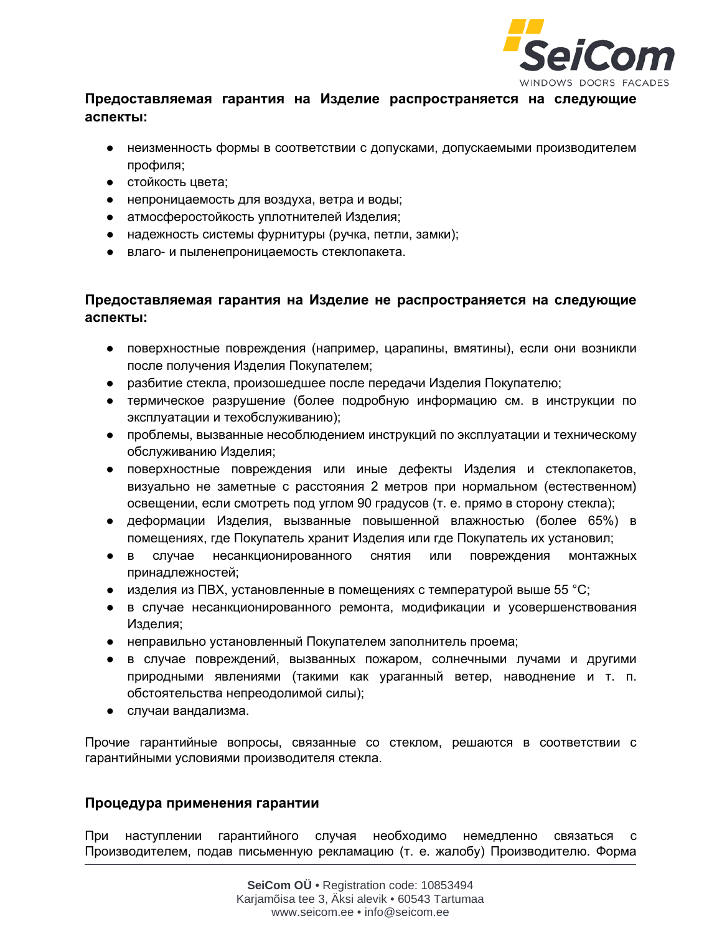

## **Предоставляемая гарантия на Изделие распространяется на следующие аспекты:**

- неизменность формы в соответствии с допусками, допускаемыми производителем профиля;
- стойкость цвета;
- непроницаемость для воздуха, ветра и воды;
- атмосферостойкость уплотнителей Изделия;
- надежность системы фурнитуры (ручка, петли, замки);
- влаго- и пыленепроницаемость стеклопакета.

### **Предоставляемая гарантия на Изделие не распространяется на следующие аспекты:**

- поверхностные повреждения (например, царапины, вмятины), если они возникли после получения Изделия Покупателем;
- разбитие стекла, произошедшее после передачи Изделия Покупателю;
- термическое разрушение (более подробную информацию см. в инструкции по эксплуатации и техобслуживанию);
- проблемы, вызванные несоблюдением инструкций по эксплуатации и техническому обслуживанию Изделия;
- поверхностные повреждения или иные дефекты Изделия и стеклопакетов, визуально не заметные с расстояния 2 метров при нормальном (естественном) освещении, если смотреть под углом 90 градусов (т. е. прямо в сторону стекла);
- деформации Изделия, вызванные повышенной влажностью (более 65%) в помещениях, где Покупатель хранит Изделия или где Покупатель их установил;
- в случае несанкционированного снятия или повреждения монтажных принадлежностей;
- изделия из ПВХ, установленные в помещениях с температурой выше 55 °С;
- в случае несанкционированного ремонта, модификации и усовершенствования Изделия;
- неправильно установленный Покупателем заполнитель проема;
- в случае повреждений, вызванных пожаром, солнечными лучами и другими природными явлениями (такими как ураганный ветер, наводнение и т. п. обстоятельства непреодолимой силы);
- случаи вандализма.

Прочие гарантийные вопросы, связанные со стеклом, решаются в соответствии с гарантийными условиями производителя стекла.

#### **Процедура применения гарантии**

При наступлении гарантийного случая необходимо немедленно связаться с Производителем, подав письменную рекламацию (т. е. жалобу) Производителю. Форма